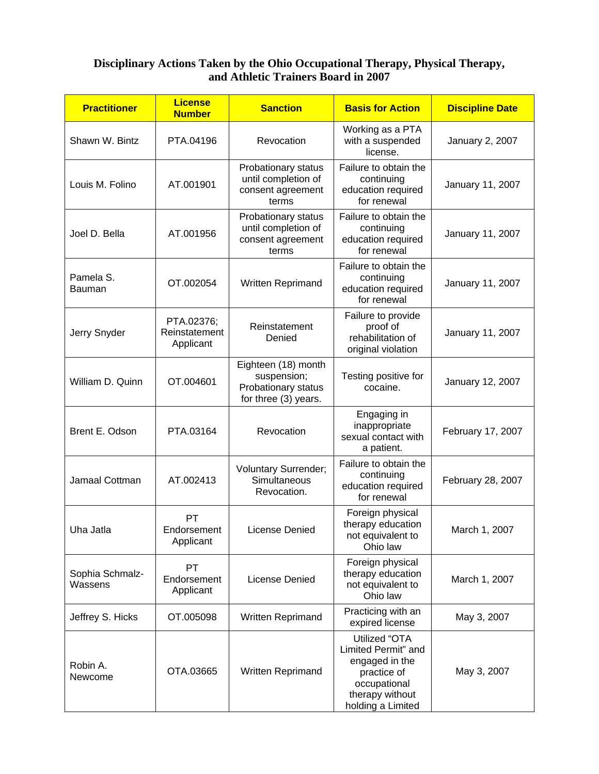## **Disciplinary Actions Taken by the Ohio Occupational Therapy, Physical Therapy, and Athletic Trainers Board in 2007**

| <b>Practitioner</b>        | <b>License</b><br><b>Number</b>          | <b>Sanction</b>                                                                   | <b>Basis for Action</b>                                                                                                       | <b>Discipline Date</b> |
|----------------------------|------------------------------------------|-----------------------------------------------------------------------------------|-------------------------------------------------------------------------------------------------------------------------------|------------------------|
| Shawn W. Bintz             | PTA.04196                                | Revocation                                                                        | Working as a PTA<br>with a suspended<br>license.                                                                              | January 2, 2007        |
| Louis M. Folino            | AT.001901                                | Probationary status<br>until completion of<br>consent agreement<br>terms          | Failure to obtain the<br>continuing<br>education required<br>for renewal                                                      | January 11, 2007       |
| Joel D. Bella              | AT.001956                                | Probationary status<br>until completion of<br>consent agreement<br>terms          | Failure to obtain the<br>continuing<br>education required<br>for renewal                                                      | January 11, 2007       |
| Pamela S.<br>Bauman        | OT.002054                                | Written Reprimand                                                                 | Failure to obtain the<br>continuing<br>education required<br>for renewal                                                      | January 11, 2007       |
| Jerry Snyder               | PTA.02376;<br>Reinstatement<br>Applicant | Reinstatement<br>Denied                                                           | Failure to provide<br>proof of<br>rehabilitation of<br>original violation                                                     | January 11, 2007       |
| William D. Quinn           | OT.004601                                | Eighteen (18) month<br>suspension;<br>Probationary status<br>for three (3) years. | Testing positive for<br>cocaine.                                                                                              | January 12, 2007       |
| Brent E. Odson             | PTA.03164                                | Revocation                                                                        | Engaging in<br>inappropriate<br>sexual contact with<br>a patient.                                                             | February 17, 2007      |
| Jamaal Cottman             | AT.002413                                | <b>Voluntary Surrender;</b><br>Simultaneous<br>Revocation.                        | Failure to obtain the<br>continuing<br>education required<br>for renewal                                                      | February 28, 2007      |
| Uha Jatla                  | PT<br>Endorsement<br>Applicant           | <b>License Denied</b>                                                             | Foreign physical<br>therapy education<br>not equivalent to<br>Ohio law                                                        | March 1, 2007          |
| Sophia Schmalz-<br>Wassens | <b>PT</b><br>Endorsement<br>Applicant    | License Denied                                                                    | Foreign physical<br>therapy education<br>not equivalent to<br>Ohio law                                                        | March 1, 2007          |
| Jeffrey S. Hicks           | OT.005098                                | Written Reprimand                                                                 | Practicing with an<br>expired license                                                                                         | May 3, 2007            |
| Robin A.<br>Newcome        | OTA.03665                                | Written Reprimand                                                                 | Utilized "OTA<br>Limited Permit" and<br>engaged in the<br>practice of<br>occupational<br>therapy without<br>holding a Limited | May 3, 2007            |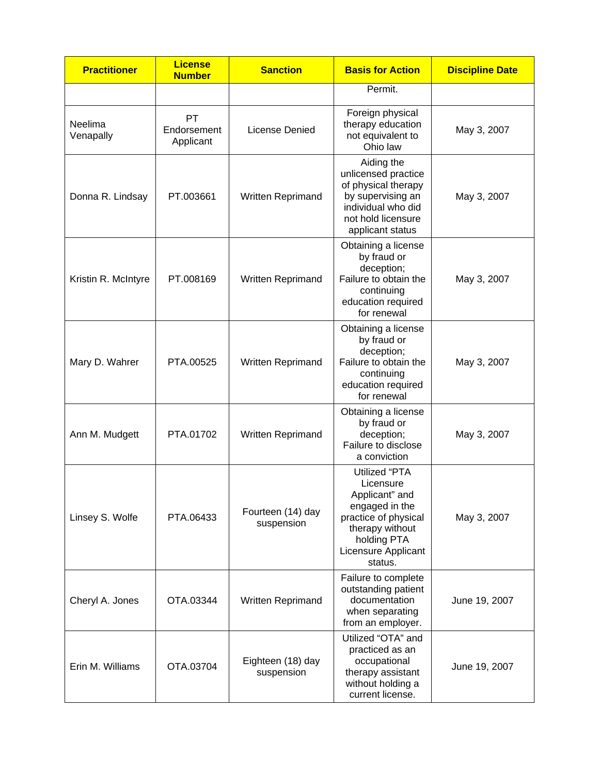| <b>Practitioner</b>  | <b>License</b><br><b>Number</b>       | <b>Sanction</b>                 | <b>Basis for Action</b>                                                                                                                                           | <b>Discipline Date</b> |
|----------------------|---------------------------------------|---------------------------------|-------------------------------------------------------------------------------------------------------------------------------------------------------------------|------------------------|
|                      |                                       |                                 | Permit.                                                                                                                                                           |                        |
| Neelima<br>Venapally | <b>PT</b><br>Endorsement<br>Applicant | License Denied                  | Foreign physical<br>therapy education<br>not equivalent to<br>Ohio law                                                                                            | May 3, 2007            |
| Donna R. Lindsay     | PT.003661                             | Written Reprimand               | Aiding the<br>unlicensed practice<br>of physical therapy<br>by supervising an<br>individual who did<br>not hold licensure<br>applicant status                     | May 3, 2007            |
| Kristin R. McIntyre  | PT.008169                             | Written Reprimand               | Obtaining a license<br>by fraud or<br>deception;<br>Failure to obtain the<br>continuing<br>education required<br>for renewal                                      | May 3, 2007            |
| Mary D. Wahrer       | PTA.00525                             | Written Reprimand               | Obtaining a license<br>by fraud or<br>deception;<br>Failure to obtain the<br>continuing<br>education required<br>for renewal                                      | May 3, 2007            |
| Ann M. Mudgett       | PTA.01702                             | Written Reprimand               | Obtaining a license<br>by fraud or<br>deception;<br>Failure to disclose<br>a conviction                                                                           | May 3, 2007            |
| Linsey S. Wolfe      | PTA.06433                             | Fourteen (14) day<br>suspension | <b>Utilized "PTA</b><br>Licensure<br>Applicant" and<br>engaged in the<br>practice of physical<br>therapy without<br>holding PTA<br>Licensure Applicant<br>status. | May 3, 2007            |
| Cheryl A. Jones      | OTA.03344                             | Written Reprimand               | Failure to complete<br>outstanding patient<br>documentation<br>when separating<br>from an employer.                                                               | June 19, 2007          |
| Erin M. Williams     | OTA.03704                             | Eighteen (18) day<br>suspension | Utilized "OTA" and<br>practiced as an<br>occupational<br>therapy assistant<br>without holding a<br>current license.                                               | June 19, 2007          |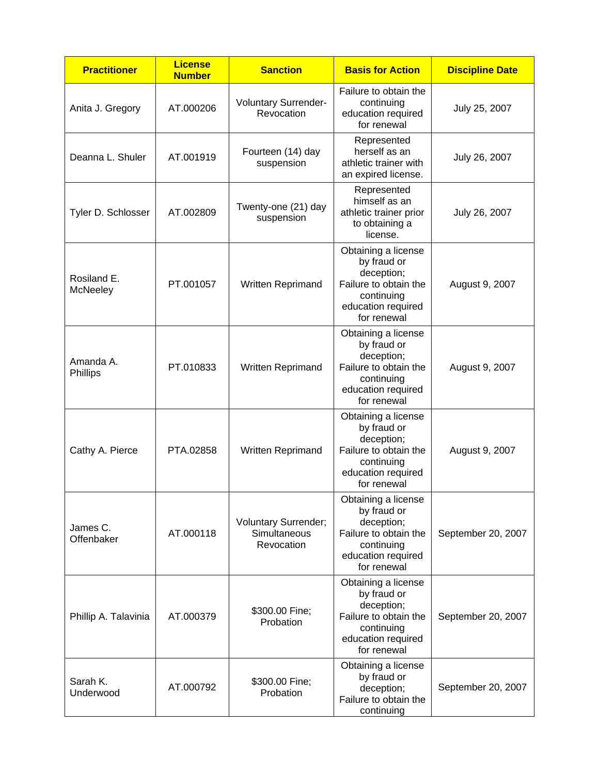| <b>Practitioner</b>            | <b>License</b><br><b>Number</b> | <b>Sanction</b>                                           | <b>Basis for Action</b>                                                                                                      | <b>Discipline Date</b> |
|--------------------------------|---------------------------------|-----------------------------------------------------------|------------------------------------------------------------------------------------------------------------------------------|------------------------|
| Anita J. Gregory               | AT.000206                       | Voluntary Surrender-<br>Revocation                        | Failure to obtain the<br>continuing<br>education required<br>for renewal                                                     | July 25, 2007          |
| Deanna L. Shuler               | AT.001919                       | Fourteen (14) day<br>suspension                           | Represented<br>herself as an<br>athletic trainer with<br>an expired license.                                                 | July 26, 2007          |
| Tyler D. Schlosser             | AT.002809                       | Twenty-one (21) day<br>suspension                         | Represented<br>himself as an<br>athletic trainer prior<br>to obtaining a<br>license.                                         | July 26, 2007          |
| Rosiland E.<br><b>McNeeley</b> | PT.001057                       | Written Reprimand                                         | Obtaining a license<br>by fraud or<br>deception;<br>Failure to obtain the<br>continuing<br>education required<br>for renewal | August 9, 2007         |
| Amanda A.<br>Phillips          | PT.010833                       | Written Reprimand                                         | Obtaining a license<br>by fraud or<br>deception;<br>Failure to obtain the<br>continuing<br>education required<br>for renewal | August 9, 2007         |
| Cathy A. Pierce                | PTA.02858                       | Written Reprimand                                         | Obtaining a license<br>by fraud or<br>deception;<br>Failure to obtain the<br>continuing<br>education required<br>for renewal | August 9, 2007         |
| James C.<br>Offenbaker         | AT.000118                       | <b>Voluntary Surrender;</b><br>Simultaneous<br>Revocation | Obtaining a license<br>by fraud or<br>deception;<br>Failure to obtain the<br>continuing<br>education required<br>for renewal | September 20, 2007     |
| Phillip A. Talavinia           | AT.000379                       | \$300.00 Fine;<br>Probation                               | Obtaining a license<br>by fraud or<br>deception;<br>Failure to obtain the<br>continuing<br>education required<br>for renewal | September 20, 2007     |
| Sarah K.<br>Underwood          | AT.000792                       | \$300.00 Fine;<br>Probation                               | Obtaining a license<br>by fraud or<br>deception;<br>Failure to obtain the<br>continuing                                      | September 20, 2007     |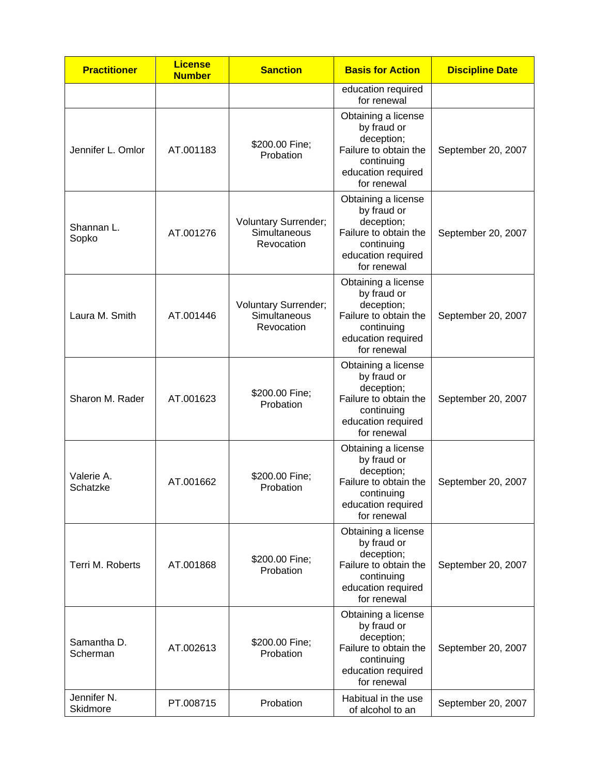| <b>Practitioner</b>                | <b>License</b><br><b>Number</b> | <b>Sanction</b>                                           | <b>Basis for Action</b>                                                                                                      | <b>Discipline Date</b> |
|------------------------------------|---------------------------------|-----------------------------------------------------------|------------------------------------------------------------------------------------------------------------------------------|------------------------|
|                                    |                                 |                                                           | education required<br>for renewal                                                                                            |                        |
| Jennifer L. Omlor                  | AT.001183                       | \$200.00 Fine;<br>Probation                               | Obtaining a license<br>by fraud or<br>deception;<br>Failure to obtain the<br>continuing<br>education required<br>for renewal | September 20, 2007     |
| Shannan L.<br>Sopko                | AT.001276                       | <b>Voluntary Surrender;</b><br>Simultaneous<br>Revocation | Obtaining a license<br>by fraud or<br>deception;<br>Failure to obtain the<br>continuing<br>education required<br>for renewal | September 20, 2007     |
| Laura M. Smith                     | AT.001446                       | <b>Voluntary Surrender;</b><br>Simultaneous<br>Revocation | Obtaining a license<br>by fraud or<br>deception;<br>Failure to obtain the<br>continuing<br>education required<br>for renewal | September 20, 2007     |
| Sharon M. Rader                    | AT.001623                       | \$200.00 Fine;<br>Probation                               | Obtaining a license<br>by fraud or<br>deception;<br>Failure to obtain the<br>continuing<br>education required<br>for renewal | September 20, 2007     |
| Valerie A.<br>Schatzke             | AT.001662                       | \$200.00 Fine;<br>Probation                               | Obtaining a license<br>by fraud or<br>deception;<br>Failure to obtain the<br>continuing<br>education required<br>for renewal | September 20, 2007     |
| Terri M. Roberts                   | AT.001868                       | \$200.00 Fine;<br>Probation                               | Obtaining a license<br>by fraud or<br>deception;<br>Failure to obtain the<br>continuing<br>education required<br>for renewal | September 20, 2007     |
| Samantha D.<br>Scherman            | AT.002613                       | \$200.00 Fine;<br>Probation                               | Obtaining a license<br>by fraud or<br>deception;<br>Failure to obtain the<br>continuing<br>education required<br>for renewal | September 20, 2007     |
| Jennifer <sub>N.</sub><br>Skidmore | PT.008715                       | Probation                                                 | Habitual in the use<br>of alcohol to an                                                                                      | September 20, 2007     |